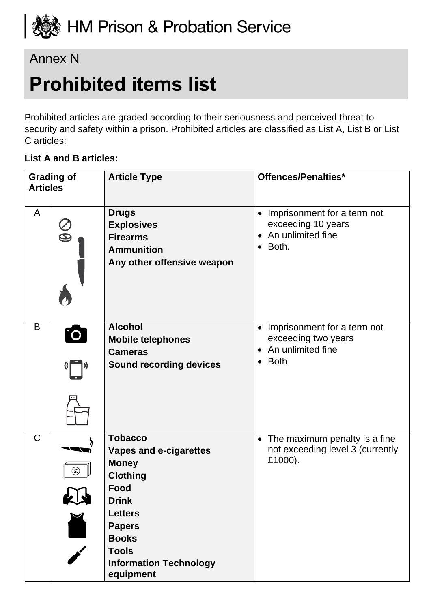

# Annex N

# **Prohibited items list**

Prohibited articles are graded according to their seriousness and perceived threat to security and safety within a prison. Prohibited articles are classified as List A, List B or List C articles:

#### **List A and B articles:**

| <b>Grading of</b><br><b>Articles</b> |                                              | <b>Article Type</b>                                                                                                                                                                                                         | Offences/Penalties*                                                                                                           |
|--------------------------------------|----------------------------------------------|-----------------------------------------------------------------------------------------------------------------------------------------------------------------------------------------------------------------------------|-------------------------------------------------------------------------------------------------------------------------------|
| A                                    | $\bigotimes$                                 | <b>Drugs</b><br><b>Explosives</b><br><b>Firearms</b><br><b>Ammunition</b><br>Any other offensive weapon                                                                                                                     | Imprisonment for a term not<br>$\bullet$<br>exceeding 10 years<br>An unlimited fine<br>$\bullet$<br>Both.<br>$\bullet$        |
| B                                    | <b>O</b>                                     | <b>Alcohol</b><br><b>Mobile telephones</b><br><b>Cameras</b><br><b>Sound recording devices</b>                                                                                                                              | Imprisonment for a term not<br>$\bullet$<br>exceeding two years<br>An unlimited fine<br>$\bullet$<br><b>Both</b><br>$\bullet$ |
| $\mathsf C$                          | $\circledast$<br>KN<br>$\blacktriangleright$ | <b>Tobacco</b><br>Vapes and e-cigarettes<br><b>Money</b><br><b>Clothing</b><br><b>Food</b><br><b>Drink</b><br><b>Letters</b><br><b>Papers</b><br><b>Books</b><br><b>Tools</b><br><b>Information Technology</b><br>equipment | The maximum penalty is a fine<br>$\bullet$<br>not exceeding level 3 (currently<br>£1000).                                     |